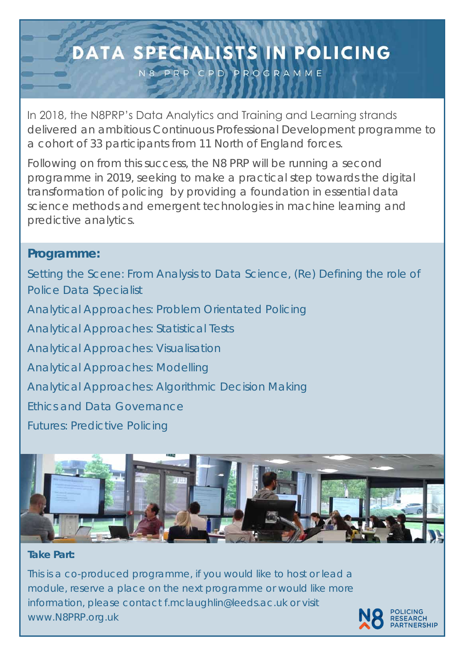## DATA SPECIALISTS IN POLICING

N8 PRP CPD PROGRAMME

In 2018, the N8PRP's Data Analytics and Training and Learning strands delivered an ambitious Continuous Professional Development programme to a cohort of 33 participants from 11 North of England forces.

Following on from this success, the N8 PRP will be running a second programme in 2019, seeking to make a practical step towards the digital transformation of policing by providing a foundation in essential data science methods and emergent technologies in machine learning and predictive analytics.

## **Take Part:**

This is a co-produced programme, if you would like to host or lead a module, reserve a place on the next programme or would like more information, please contact f.mclaughlin@leeds.ac.uk or visit www.N8PRP.org.uk



## **Programme:**

Setting the Scene: From Analysis to Data Science, (Re) Defining the role of Police Data Specialist Analytical Approaches: Problem Orientated Policing Analytical Approaches: Statistical Tests Analytical Approaches: Visualisation Analytical Approaches: Modelling Analytical Approaches: Algorithmic Decision Making Ethics and Data Governance Futures: Predictive Policing